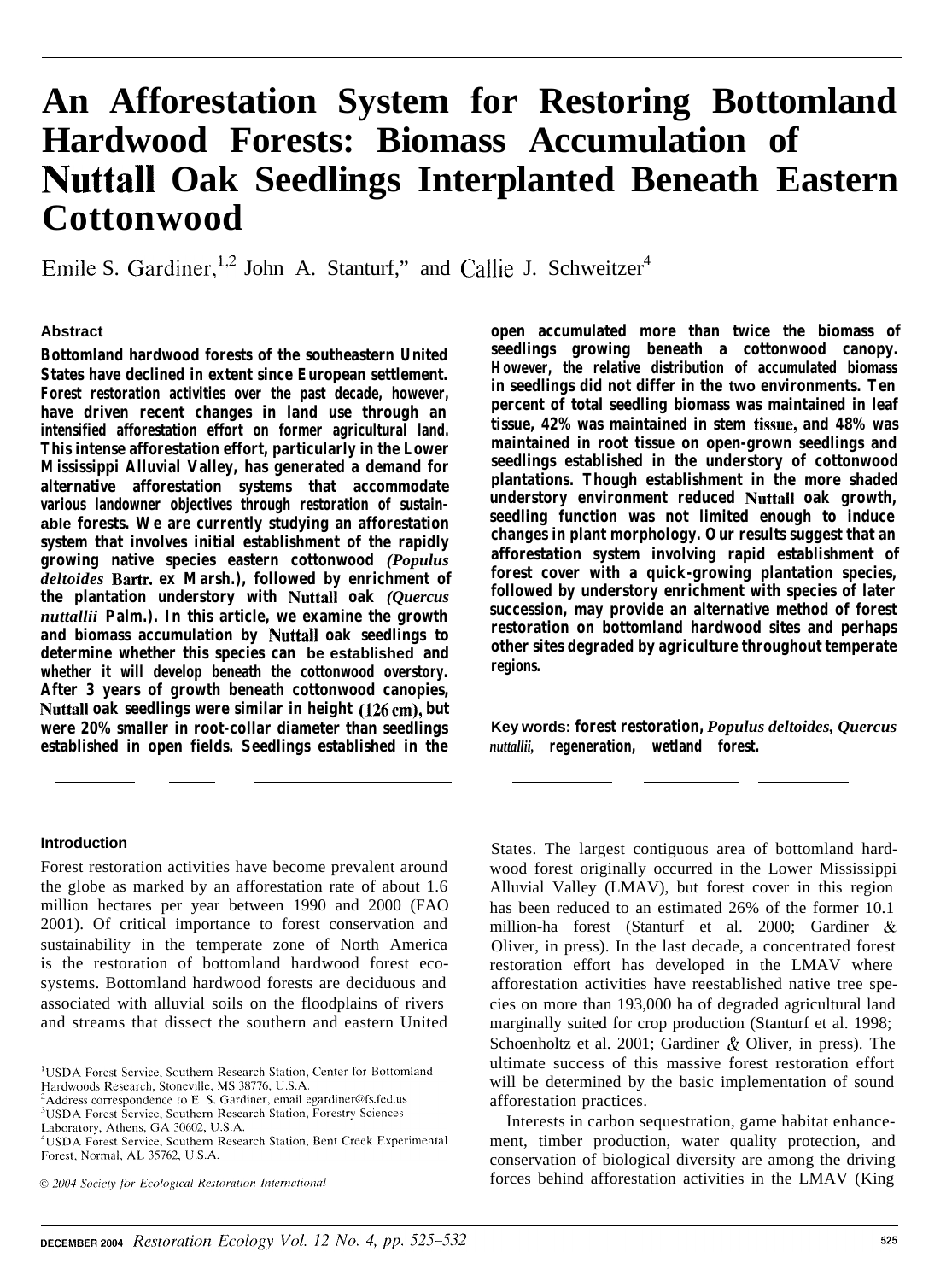# **An Afforestation System for Restoring Bottomland Hardwood Forests: Biomass Accumulation of Nuttall Oak Seedlings Interplanted Beneath Eastern Cottonwood**

Emile S. Gardiner,<sup>1,2</sup> John A. Stanturf," and Callie J. Schweitzer<sup>4</sup>

## **Abstract**

**Bottomland hardwood forests of the southeastern United States have declined in extent since European settlement. Forest restoration activities over the past decade, however, have driven recent changes in land use through an intensified afforestation effort on former agricultural land. This intense afforestation effort, particularly in the Lower Mississippi Alluvial Valley, has generated a demand for alternative afforestation systems that accommodate various landowner objectives through restoration of sustainable forests. We are currently studying an afforestation system that involves initial establishment of the rapidly growing native species eastern cottonwood** *(Populus*  $deltoides$  Bartr. ex Marsh.), followed by enrichment of **the plantation understory with Nuttall oak** *(Quercus nuttallii* **Palm.). In this article, we examine the growth and biomass accumulation by Nuttall oak seedlings to determine whether this species can be established and whether it will develop beneath the cottonwood overstory. After 3 years of growth beneath cottonwood canopies, Nuttall oak seedlings were similar in height (126cm), but were 20% smaller in root-collar diameter than seedlings established in open fields. Seedlings established in the**

**open accumulated more than twice the biomass of seedlings growing beneath a cottonwood canopy. However, the relative distribution of accumulated biomass in seedlings did not differ in the two environments. Ten percent of total seedling biomass was maintained in leaf tissue, 42% was maintained in stem tissue, and 48% was maintained in root tissue on open-grown seedlings and seedlings established in the understory of cottonwood plantations. Though establishment in the more shaded understory environment reduced Nuttall oak growth, seedling function was not limited enough to induce changes in plant morphology. Our results suggest that an afforestation system involving rapid establishment of forest cover with a quick-growing plantation species, followed by understory enrichment with species of later succession, may provide an alternative method of forest restoration on bottomland hardwood sites and perhaps other sites degraded by agriculture throughout temperate regions.**

**Key words: forest restoration,** *Populus deltoides, Quercus nuttallii,* **regeneration, wetland forest.**

## **Introduction**

Forest restoration activities have become prevalent around the globe as marked by an afforestation rate of about 1.6 million hectares per year between 1990 and 2000 (FAO 2001). Of critical importance to forest conservation and sustainability in the temperate zone of North America is the restoration of bottomland hardwood forest ecosystems. Bottomland hardwood forests are deciduous and associated with alluvial soils on the floodplains of rivers and streams that dissect the southern and eastern United

<sup>1</sup>USDA Forest Service, Southern Research Station, Center for Bottomland

Hardwoods Research, Stoneville, MS 38776, U.S.A.

<sup>2</sup>Address correspondence to E. S. Gardiner, email egardiner@fs.fed.us <sup>3</sup>USDA Forest Service, Southern Research Station, Forestry Sciences

Laboratory, Athens, GA 30602, U.S.A.

<sup>4</sup>USDA Forest Service, Southern Research Station, Bent Creek Experimental Forest, Normal, AL 35762, U.S.A.

© 2004 Society for Ecological Restoration International

States. The largest contiguous area of bottomland hardwood forest originally occurred in the Lower Mississippi Alluvial Valley (LMAV), but forest cover in this region has been reduced to an estimated 26% of the former 10.1 million-ha forest (Stanturf et al. 2000; Gardiner & Oliver, in press). In the last decade, a concentrated forest restoration effort has developed in the LMAV where afforestation activities have reestablished native tree species on more than 193,000 ha of degraded agricultural land marginally suited for crop production (Stanturf et al. 1998; Schoenholtz et al. 2001; Gardiner & Oliver, in press). The ultimate success of this massive forest restoration effort will be determined by the basic implementation of sound afforestation practices.

Interests in carbon sequestration, game habitat enhancement, timber production, water quality protection, and conservation of biological diversity are among the driving forces behind afforestation activities in the LMAV (King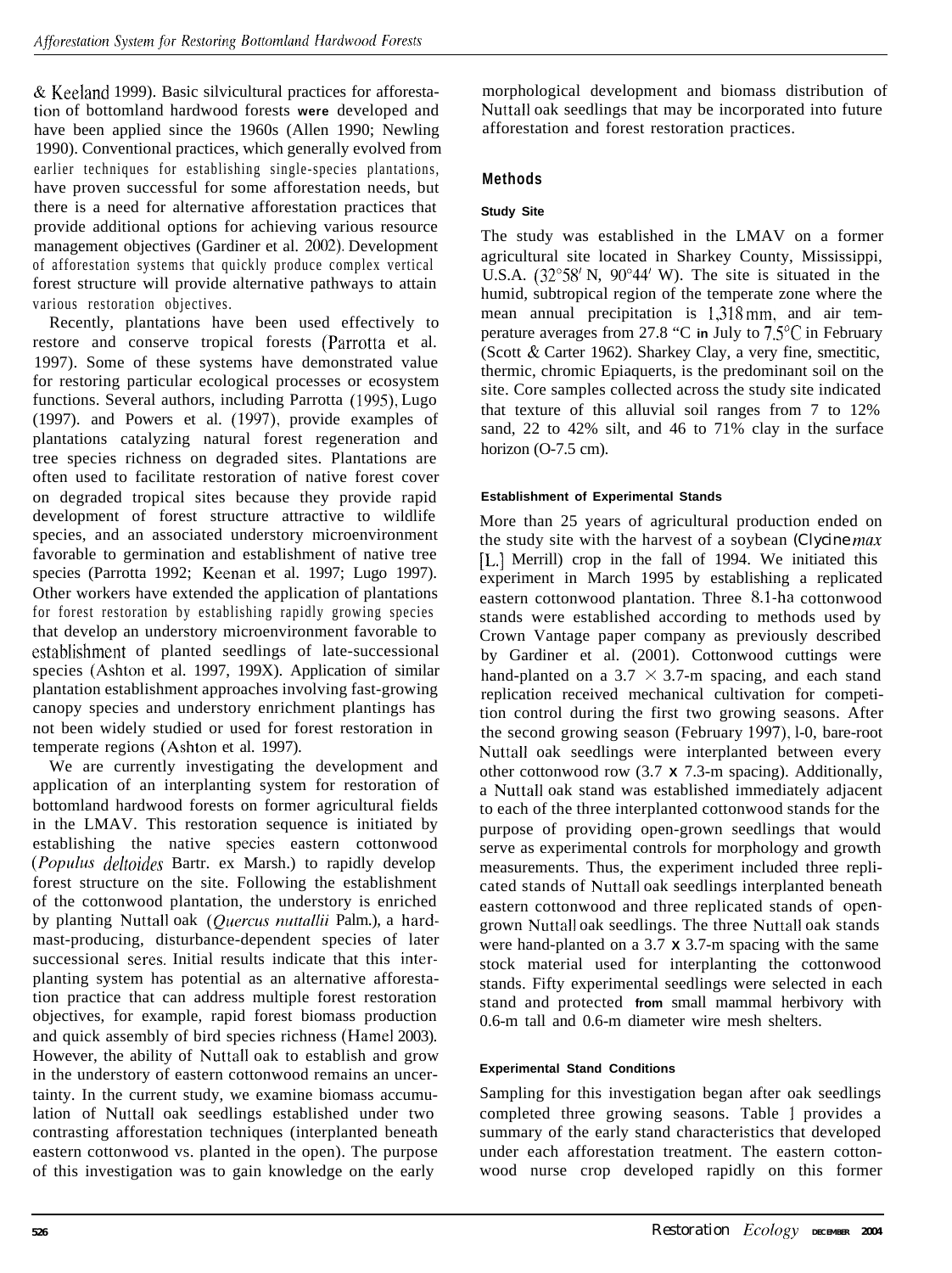& Keeland 1999). Basic silvicultural practices for afforestation of bottomland hardwood forests **were** developed and have been applied since the 1960s (Allen 1990; Newling 1990). Conventional practices, which generally evolved from earlier techniques for establishing single-species plantations, have proven successful for some afforestation needs, but there is a need for alternative afforestation practices that provide additional options for achieving various resource management objectives (Gardiner et al. 2002). Development of afforestation systems that quickly produce complex vertical forest structure will provide alternative pathways to attain various restoration objectives.

Recently, plantations have been used effectively to restore and conserve tropical forests (Parrotta et al. 1997). Some of these systems have demonstrated value for restoring particular ecological processes or ecosystem functions. Several authors, including Parrotta (1995), Lugo (1997). and Powers et al.  $(1997)$ , provide examples of plantations catalyzing natural forest regeneration and tree species richness on degraded sites. Plantations are often used to facilitate restoration of native forest cover on degraded tropical sites because they provide rapid development of forest structure attractive to wildlife species, and an associated understory microenvironment favorable to germination and establishment of native tree species (Parrotta 1992; Keenan et al. 1997; Lugo 1997). Other workers have extended the application of plantations for forest restoration by establishing rapidly growing species that develop an understory microenvironment favorable to establishment of planted seedlings of late-successional species (Ashton et al. 1997, 199X). Application of similar plantation establishment approaches involving fast-growing canopy species and understory enrichment plantings has not been widely studied or used for forest restoration in temperate regions (Ashton et al. 1997).

We are currently investigating the development and application of an interplanting system for restoration of bottomland hardwood forests on former agricultural fields in the LMAV. This restoration sequence is initiated by establishing the native species eastern cottonwood *(Populus deltoides* Bartr. ex Marsh.) to rapidly develop forest structure on the site. Following the establishment of the cottonwood plantation, the understory is enriched by planting Nuttall oak *(Quercus nuttallii Palm.)*, a hardmast-producing, disturbance-dependent species of later successional seres. Initial results indicate that this interplanting system has potential as an alternative afforestation practice that can address multiple forest restoration objectives, for example, rapid forest biomass production and quick assembly of bird species richness (Hamel 2003). However, the ability of Nuttall oak to establish and grow in the understory of eastern cottonwood remains an uncertainty. In the current study, we examine biomass accumulation of Nuttall oak seedlings established under two contrasting afforestation techniques (interplanted beneath eastern cottonwood vs. planted in the open). The purpose of this investigation was to gain knowledge on the early

morphological development and biomass distribution of Nuttall oak seedlings that may be incorporated into future afforestation and forest restoration practices.

# **Methods**

# **Study Site**

The study was established in the LMAV on a former agricultural site located in Sharkey County, Mississippi, U.S.A.  $(32^{\circ}58' \text{ N}, 90^{\circ}44' \text{ W})$ . The site is situated in the humid, subtropical region of the temperate zone where the mean annual precipitation is 1,31Smm, and air temperature averages from 27.8 "C **in** July to 7.5"C in February (Scott & Carter 1962). Sharkey Clay, a very fine, smectitic, thermic, chromic Epiaquerts, is the predominant soil on the site. Core samples collected across the study site indicated that texture of this alluvial soil ranges from 7 to 12% sand, 22 to 42% silt, and 46 to 71% clay in the surface horizon  $(O-7.5 \text{ cm})$ .

## **Establishment of Experimental Stands**

More than 25 years of agricultural production ended on the study site with the harvest of a soybean *(Clycine max* [L.] Merrill) crop in the fall of 1994. We initiated this experiment in March 1995 by establishing a replicated eastern cottonwood plantation. Three 8.1-ha cottonwood stands were established according to methods used by Crown Vantage paper company as previously described by Gardiner et al. (2001). Cottonwood cuttings were hand-planted on a 3.7  $\times$  3.7-m spacing, and each stand replication received mechanical cultivation for competition control during the first two growing seasons. After the second growing season (February 1997), l-0, bare-root Nuttall oak seedlings were interplanted between every other cottonwood row (3.7 **X** 7.3-m spacing). Additionally, a Nuttall oak stand was established immediately adjacent to each of the three interplanted cottonwood stands for the purpose of providing open-grown seedlings that would serve as experimental controls for morphology and growth measurements. Thus, the experiment included three replicated stands of Nuttall oak seedlings interplanted beneath eastern cottonwood and three replicated stands of opengrown Nuttall oak seedlings. The three Nuttall oak stands were hand-planted on a 3.7 **X** 3.7-m spacing with the same stock material used for interplanting the cottonwood stands. Fifty experimental seedlings were selected in each stand and protected **from** small mammal herbivory with 0.6-m tall and 0.6-m diameter wire mesh shelters.

## **Experimental Stand Conditions**

Sampling for this investigation began after oak seedlings completed three growing seasons. Table 1 provides a summary of the early stand characteristics that developed under each afforestation treatment. The eastern cottonwood nurse crop developed rapidly on this former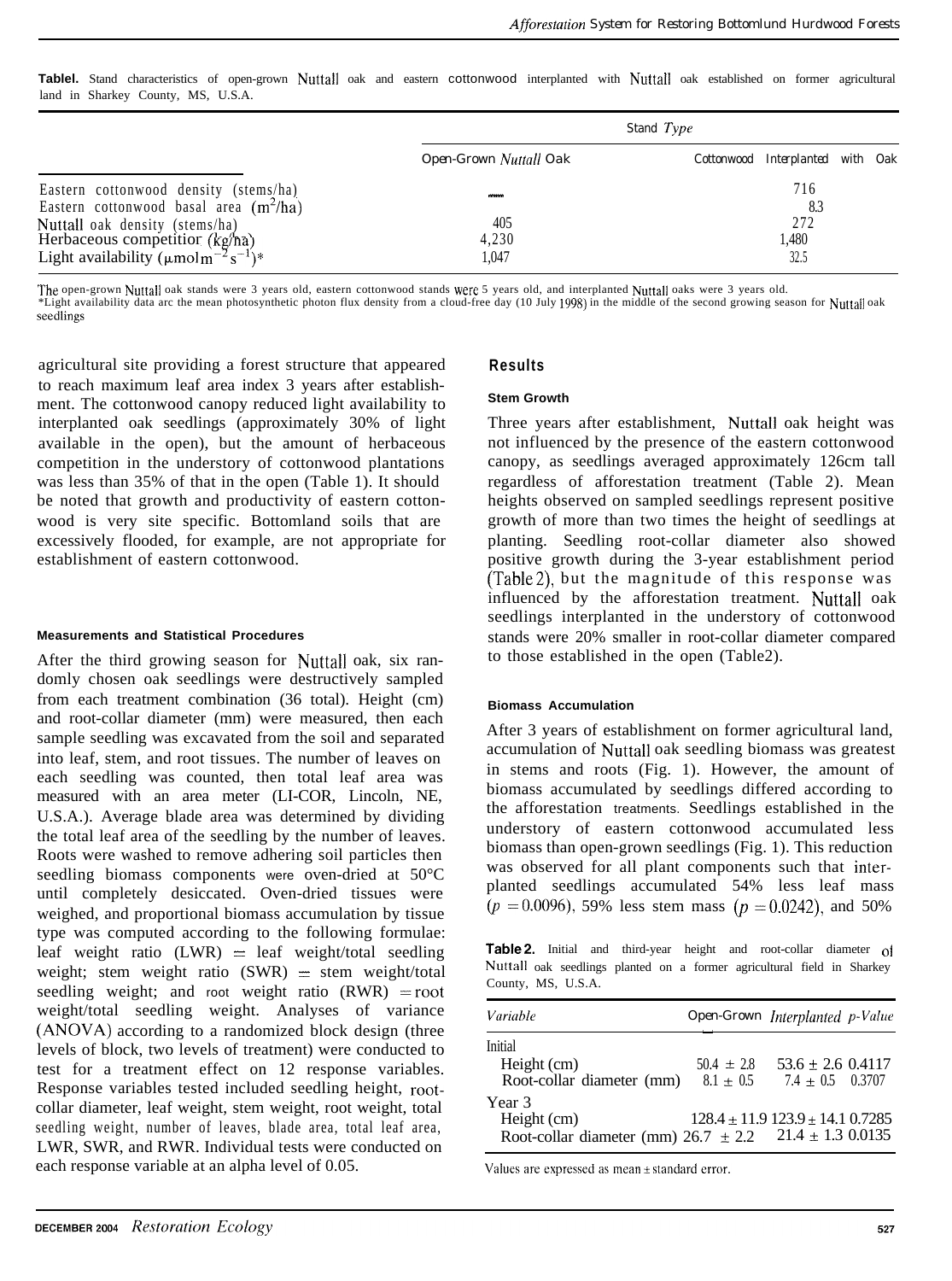|  | Tablel. Stand characteristics of open-grown Nuttall oak and eastern cottonwood interplanted with Nuttall oak established on former agricultural |  |  |  |  |  |  |  |  |
|--|-------------------------------------------------------------------------------------------------------------------------------------------------|--|--|--|--|--|--|--|--|
|  | land in Sharkey County, MS, U.S.A.                                                                                                              |  |  |  |  |  |  |  |  |

|                                                                                                                                       |                        | Stand Type                       |
|---------------------------------------------------------------------------------------------------------------------------------------|------------------------|----------------------------------|
|                                                                                                                                       | Open-Grown Nuttall Oak | Cottonwood Interplanted with Oak |
| Eastern cottonwood density (stems/ha)<br>Eastern cottonwood basal area $(m^2/ha)$                                                     |                        | 716<br>8.3                       |
| Nuttall oak density (stems/ha)<br>Herbaceous competition (kg/ha)<br>Light availability ( $\mu$ mol m <sup>-2</sup> s <sup>-1</sup> )* | 405<br>4.230<br>1,047  | 272<br>,480<br>32.5              |

The open-grown Nuttall oak stands were 3 years old, eastern cottonwood stands were 5 years old, and interplanted Nuttall oaks were 3 years old.

\*Light availability data arc the mean photosynthetic photon flux density from a cloud-free day (10 July 1998) in the middle of the second growing season for Nuttall oak

agricultural site providing a forest structure that appeared to reach maximum leaf area index 3 years after establishment. The cottonwood canopy reduced light availability to interplanted oak seedlings (approximately 30% of light available in the open), but the amount of herbaceous competition in the understory of cottonwood plantations was less than 35% of that in the open (Table 1). It should be noted that growth and productivity of eastern cottonwood is very site specific. Bottomland soils that are excessively flooded, for example, are not appropriate for establishment of eastern cottonwood.

#### **Measurements and Statistical Procedures**

After the third growing season for Nuttall oak, six randomly chosen oak seedlings were destructively sampled from each treatment combination (36 total). Height (cm) and root-collar diameter (mm) were measured, then each sample seedling was excavated from the soil and separated into leaf, stem, and root tissues. The number of leaves on each seedling was counted, then total leaf area was measured with an area meter (LI-COR, Lincoln, NE, U.S.A.). Average blade area was determined by dividing the total leaf area of the seedling by the number of leaves. Roots were washed to remove adhering soil particles then seedling biomass components were oven-dried at 50°C until completely desiccated. Oven-dried tissues were weighed, and proportional biomass accumulation by tissue type was computed according to the following formulae: leaf weight ratio  $(LWR)$  = leaf weight/total seedling weight; stem weight ratio  $(SWR)$  = stem weight/total seedling weight; and root weight ratio  $(RWR)$  = root weight/total seedling weight. Analyses of variance (ANOVA) according to a randomized block design (three levels of block, two levels of treatment) were conducted to test for a treatment effect on 12 response variables. Response variables tested included seedling height, rootcollar diameter, leaf weight, stem weight, root weight, total seedling weight, number of leaves, blade area, total leaf area, LWR, SWR, and RWR. Individual tests were conducted on each response variable at an alpha level of 0.05.

#### **Results**

#### **Stem Growth**

Three years after establishment, Nuttall oak height was not influenced by the presence of the eastern cottonwood canopy, as seedlings averaged approximately 126cm tall regardless of afforestation treatment (Table 2). Mean heights observed on sampled seedlings represent positive growth of more than two times the height of seedlings at planting. Seedling root-collar diameter also showed positive growth during the 3-year establishment period (Table2), but the magnitude of this response was influenced by the afforestation treatment. Nuttall oak seedlings interplanted in the understory of cottonwood stands were 20% smaller in root-collar diameter compared to those established in the open (Table2).

#### **Biomass Accumulation**

After 3 years of establishment on former agricultural land, accumulation of Nuttall oak seedling biomass was greatest in stems and roots (Fig. 1). However, the amount of biomass accumulated by seedlings differed according to the afforestation treatments. Seedlings established in the understory of eastern cottonwood accumulated less biomass than open-grown seedlings (Fig. 1). This reduction was observed for all plant components such that interplanted seedlings accumulated 54% less leaf mass  $(p = 0.0096)$ , 59% less stem mass  $(p = 0.0242)$ , and 50%

Table 2. Initial and third-year height and root-collar diameter of Nuttall oak seedlings planted on a former agricultural field in Sharkey County, MS, U.S.A.

| Variable                                                       | Open-Grown Interplanted p-Value          |                       |  |
|----------------------------------------------------------------|------------------------------------------|-----------------------|--|
| Initial                                                        |                                          |                       |  |
| Height (cm)                                                    | $50.4 \pm 2.8$                           | $53.6 \pm 2.6$ 0.4117 |  |
| Root-collar diameter (mm)                                      | $8.1 \pm 0.5$                            | $7.4 \pm 0.5$ 0.3707  |  |
| Year 3                                                         |                                          |                       |  |
| Height (cm)                                                    | $128.4 \pm 11.9$ $123.9 \pm 14.1$ 0.7285 |                       |  |
| Root-collar diameter (mm) $26.7 \pm 2.2$ 21.4 $\pm$ 1.3 0.0135 |                                          |                       |  |

Values are expressed as mean ± standard error.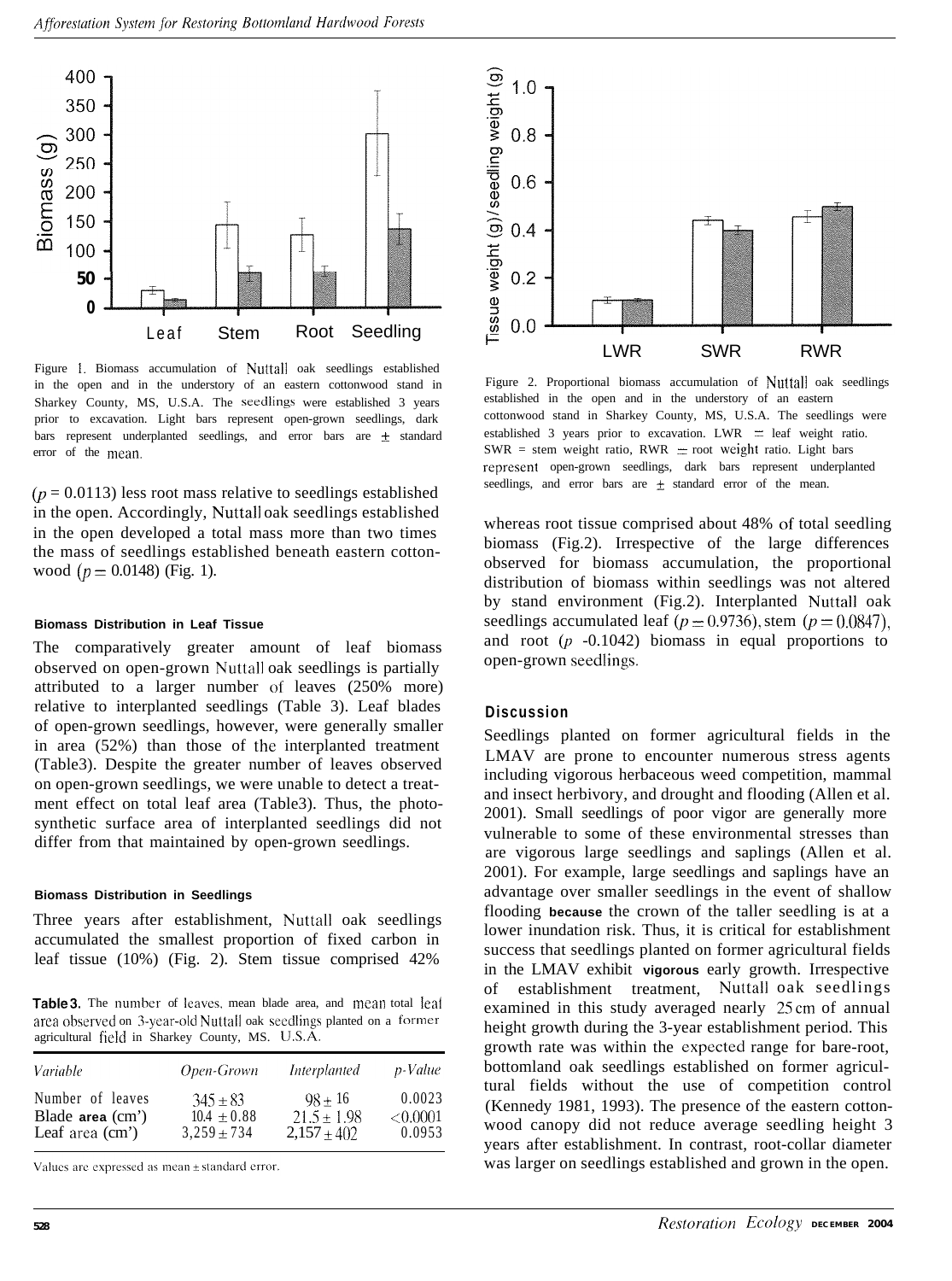

Figure 1. Biomass accumulation of Nuttall oak seedlings established in the open and in the understory of an eastern cottonwood stand in Sharkey County, MS, U.S.A. The seedlings were established 3 years prior to excavation. Light bars represent open-grown seedlings, dark bars represent underplanted seedlings, and error bars are  $\pm$  standard error of the mean.

 $(p = 0.0113)$  less root mass relative to seedlings established in the open. Accordingly, Nuttall oak seedlings established in the open developed a total mass more than two times the mass of seedlings established beneath eastern cottonwood  $(p = 0.0148)$  (Fig. 1).

#### **Biomass Distribution in Leaf Tissue**

The comparatively greater amount of leaf biomass observed on open-grown Nuttall oak seedlings is partially attributed to a larger number of leaves (250% more) relative to interplanted seedlings (Table 3). Leaf blades of open-grown seedlings, however, were generally smaller in area (52%) than those of the interplanted treatment (Table3). Despite the greater number of leaves observed on open-grown seedlings, we were unable to detect a treatment effect on total leaf area (Table3). Thus, the photosynthetic surface area of interplanted seedlings did not differ from that maintained by open-grown seedlings.

#### **Biomass Distribution in Seedlings**

Three years after establishment, Nuttall oak seedlings accumulated the smallest proportion of fixed carbon in leaf tissue (10%) (Fig. 2). Stem tissue comprised 42%

**Table 3.** The number of leaves, mean blade area, and mean total leaf arca observed on 3-year-old Nuttall oak seedlings planted on a former agricultural field in Sharkey County, MS. U.S.A.

| <i>Variable</i>  | Open-Grown      | <i>Interplanted</i> | p-Value  |
|------------------|-----------------|---------------------|----------|
| Number of leaves | $345 \pm 83$    | $98 + 16$           | 0.0023   |
| Blade area (cm') | $10.4 \pm 0.88$ | $21.5 \pm 1.98$     | < 0.0001 |
| Leaf area (cm')  | $3.259 \pm 734$ | $2,157 \pm 402$     | 0.0953   |

Values are expressed as mean ± standard error.



Figure 2. Proportional biomass accumulation of Nuttall oak seedlings established in the open and in the understory of an eastern cottonwood stand in Sharkey County, MS, U.S.A. The seedlings were established 3 years prior to excavation. LWR  $=$  leaf weight ratio.  $SWR =$  stem weight ratio,  $RWR =$  root weight ratio. Light bars reprcscnt open-grown seedlings, dark bars represent underplanted seedlings, and error bars are  $\pm$  standard error of the mean.

whereas root tissue comprised about 48% of total seedling biomass (Fig.2). Irrespective of the large differences observed for biomass accumulation, the proportional distribution of biomass within seedlings was not altered by stand environment (Fig.2). Interplanted Nuttall oak seedlings accumulated leaf ( $p = 0.9736$ ), stem ( $p = 0.0847$ ), and root  $(p -0.1042)$  biomass in equal proportions to open-grown seedlings.

### **Discussion**

Seedlings planted on former agricultural fields in the LMAV are prone to encounter numerous stress agents including vigorous herbaceous weed competition, mammal and insect herbivory, and drought and flooding (Allen et al. 2001). Small seedlings of poor vigor are generally more vulnerable to some of these environmental stresses than are vigorous large seedlings and saplings (Allen et al. 2001). For example, large seedlings and saplings have an advantage over smaller seedlings in the event of shallow flooding **because** the crown of the taller seedling is at a lower inundation risk. Thus, it is critical for establishment success that seedlings planted on former agricultural fields in the LMAV exhibit **vigorous** early growth. Irrespective of establishment treatment, Nuttall oak seedlings examined in this study averaged nearly 25cm of annual height growth during the 3-year establishment period. This growth rate was within the expected range for bare-root, bottomland oak seedlings established on former agricultural fields without the use of competition control (Kennedy 1981, 1993). The presence of the eastern cottonwood canopy did not reduce average seedling height 3 years after establishment. In contrast, root-collar diameter was larger on seedlings established and grown in the open.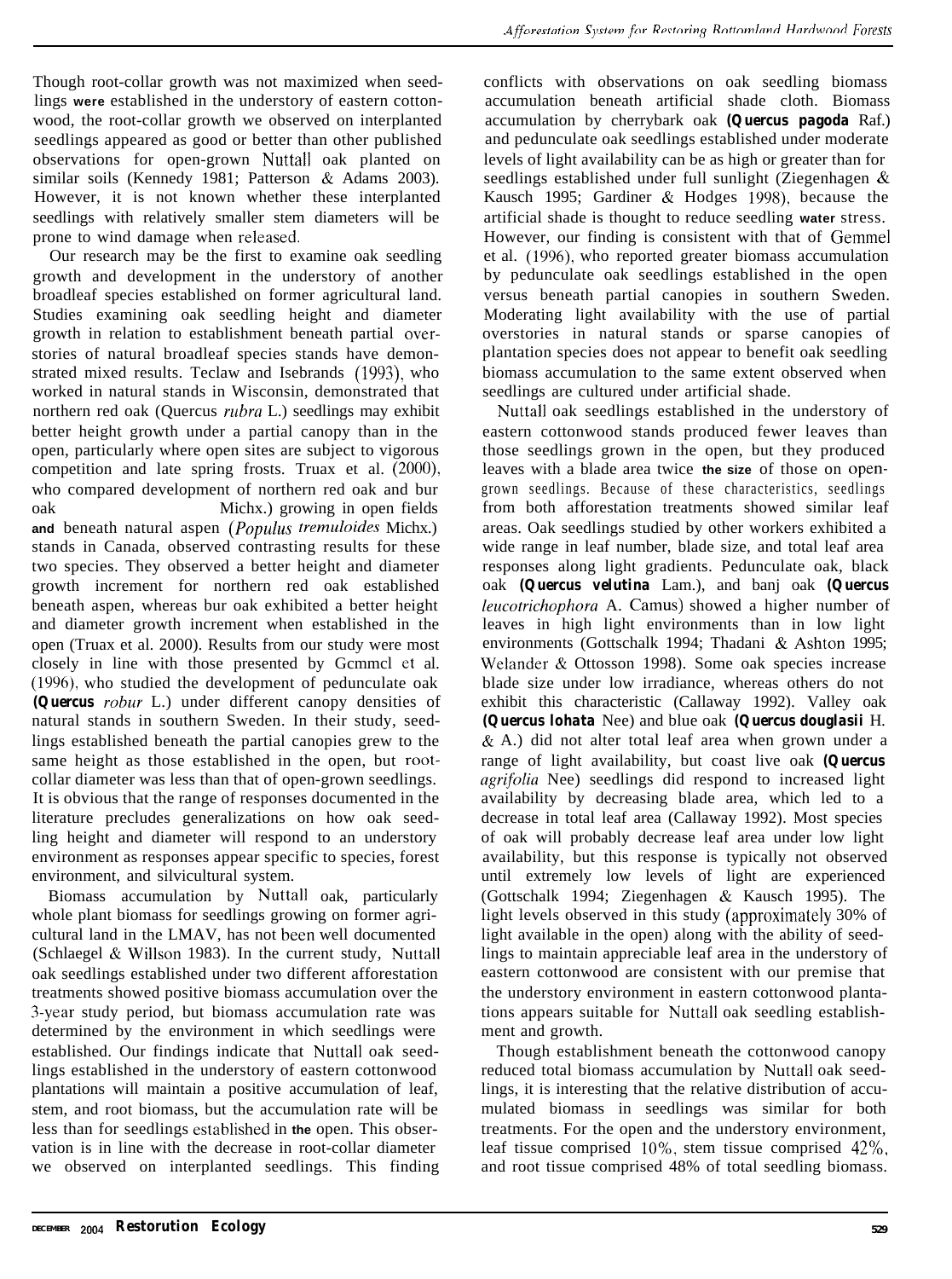Though root-collar growth was not maximized when seedlings **were** established in the understory of eastern cottonwood, the root-collar growth we observed on interplanted seedlings appeared as good or better than other published observations for open-grown Nuttall oak planted on similar soils (Kennedy 1981; Patterson & Adams 2003). However, it is not known whether these interplanted seedlings with relatively smaller stem diameters will be prone to wind damage when released.

Our research may be the first to examine oak seedling growth and development in the understory of another broadleaf species established on former agricultural land. Studies examining oak seedling height and diameter growth in relation to establishment beneath partial overstories of natural broadleaf species stands have demonstrated mixed results. Teclaw and Isebrands (1993), who worked in natural stands in Wisconsin, demonstrated that northern red oak (Quercus *rubra* L.) seedlings may exhibit better height growth under a partial canopy than in the open, particularly where open sites are subject to vigorous competition and late spring frosts. Truax et al. (2000), who compared development of northern red oak and bur oak Michx.) growing in open fields **and** beneath natural aspen *(Populus tremuloides* Michx.) stands in Canada, observed contrasting results for these two species. They observed a better height and diameter growth increment for northern red oak established beneath aspen, whereas bur oak exhibited a better height and diameter growth increment when established in the open (Truax et al. 2000). Results from our study were most closely in line with those presented by Gcmmcl et al. (1996), who studied the development of pedunculate oak *(Quercus rohur* L.) under different canopy densities of natural stands in southern Sweden. In their study, seedlings established beneath the partial canopies grew to the same height as those established in the open, but rootcollar diameter was less than that of open-grown seedlings. It is obvious that the range of responses documented in the literature precludes generalizations on how oak seedling height and diameter will respond to an understory environment as responses appear specific to species, forest environment, and silvicultural system.

Biomass accumulation by Nuttall oak, particularly whole plant biomass for seedlings growing on former agricultural land in the LMAV, has not been well documented (Schlaegel & Willson 1983). In the current study, Nuttall oak seedlings established under two different afforestation treatments showed positive biomass accumulation over the 3-year study period, but biomass accumulation rate was determined by the environment in which seedlings were established. Our findings indicate that Nuttall oak seedlings established in the understory of eastern cottonwood plantations will maintain a positive accumulation of leaf, stem, and root biomass, but the accumulation rate will be less than for seedlings established in **the** open. This observation is in line with the decrease in root-collar diameter we observed on interplanted seedlings. This finding

conflicts with observations on oak seedling biomass accumulation beneath artificial shade cloth. Biomass accumulation by cherrybark oak *(Quercus pagoda* Raf.) and pedunculate oak seedlings established under moderate levels of light availability can be as high or greater than for seedlings established under full sunlight (Ziegenhagen & Kausch 1995; Gardiner & Hodges 1998), because the artificial shade is thought to reduce seedling **water** stress. However, our finding is consistent with that of Gemmel et al. (1996), who reported greater biomass accumulation by pedunculate oak seedlings established in the open versus beneath partial canopies in southern Sweden. Moderating light availability with the use of partial overstories in natural stands or sparse canopies of plantation species does not appear to benefit oak seedling biomass accumulation to the same extent observed when seedlings are cultured under artificial shade.

Nuttall oak seedlings established in the understory of eastern cottonwood stands produced fewer leaves than those seedlings grown in the open, but they produced leaves with a blade area twice **the size** of those on opengrown seedlings. Because of these characteristics, seedlings from both afforestation treatments showed similar leaf areas. Oak seedlings studied by other workers exhibited a wide range in leaf number, blade size, and total leaf area responses along light gradients. Pedunculate oak, black oak *(Quercus velutina* Lam.), and banj oak *(Quercus leucotrichophora* A. Camus) showed a higher number of leaves in high light environments than in low light environments (Gottschalk 1994; Thadani & Ashton 1995; Welander & Ottosson 1998). Some oak species increase blade size under low irradiance, whereas others do not exhibit this characteristic (Callaway 1992). Valley oak *(Quercus lohata* Nee) and blue oak *(Quercus douglasii* H.  $&$  A.) did not alter total leaf area when grown under a range of light availability, but coast live oak *(Quercus agrifolia* Nee) seedlings did respond to increased light availability by decreasing blade area, which led to a decrease in total leaf area (Callaway 1992). Most species of oak will probably decrease leaf area under low light availability, but this response is typically not observed until extremely low levels of light are experienced (Gottschalk 1994; Ziegenhagen & Kausch 1995). The light levels observed in this study (approximately 30% of light available in the open) along with the ability of seedlings to maintain appreciable leaf area in the understory of eastern cottonwood are consistent with our premise that the understory environment in eastern cottonwood plantations appears suitable for Nuttall oak seedling establishment and growth.

Though establishment beneath the cottonwood canopy reduced total biomass accumulation by Nuttall oak seedlings, it is interesting that the relative distribution of accumulated biomass in seedlings was similar for both treatments. For the open and the understory environment, leaf tissue comprised lO%, stem tissue comprised 42%, and root tissue comprised 48% of total seedling biomass.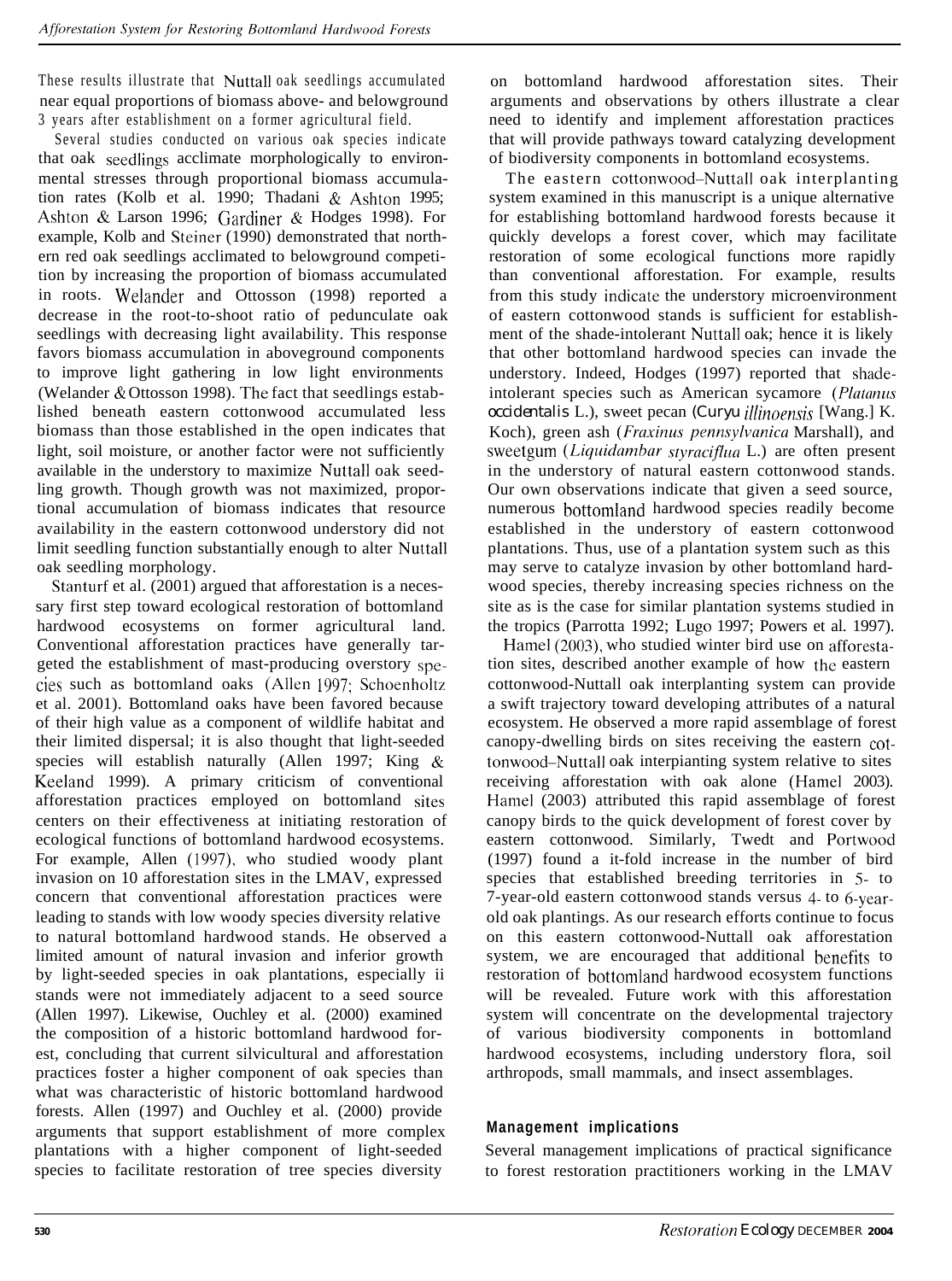These results illustrate that Nuttall oak seedlings accumulated near equal proportions of biomass above- and belowground 3 years after establishment on a former agricultural field.

Several studies conducted on various oak species indicate that oak seedlings acclimate morphologically to environmental stresses through proportional biomass accumulation rates (Kolb et al. 1990; Thadani & Ashton 1995; Ashton & Larson 1996; Gardiner & Hodges 1998). For example, Kolb and Steiner (1990) demonstrated that northern red oak seedlings acclimated to belowground competition by increasing the proportion of biomass accumulated in roots. Welander and Ottosson (1998) reported a decrease in the root-to-shoot ratio of pedunculate oak seedlings with decreasing light availability. This response favors biomass accumulation in aboveground components to improve light gathering in low light environments (Welander & Ottosson 1998). The fact that seedlings established beneath eastern cottonwood accumulated less biomass than those established in the open indicates that light, soil moisture, or another factor were not sufficiently available in the understory to maximize Nuttall oak seedling growth. Though growth was not maximized, proportional accumulation of biomass indicates that resource availability in the eastern cottonwood understory did not limit seedling function substantially enough to alter Nuttall oak seedling morphology.

Stanturf et al. (2001) argued that afforestation is a necessary first step toward ecological restoration of bottomland hardwood ecosystems on former agricultural land. Conventional afforestation practices have generally targeted the establishment of mast-producing overstory spccies such as bottomland oaks (Allen 1997; Schoenholtz et al. 2001). Bottomland oaks have been favored because of their high value as a component of wildlife habitat and their limited dispersal; it is also thought that light-seeded species will establish naturally (Allen 1997; King & Keeland 1999). A primary criticism of conventional afforestation practices employed on bottomland sites centers on their effectiveness at initiating restoration of ecological functions of bottomland hardwood ecosystems. For example, Allen (1997), who studied woody plant invasion on 10 afforestation sites in the LMAV, expressed concern that conventional afforestation practices were leading to stands with low woody species diversity relative to natural bottomland hardwood stands. He observed a limited amount of natural invasion and inferior growth by light-seeded species in oak plantations, especially ii stands were not immediately adjacent to a seed source (Allen 1997). Likewise, Ouchley et al. (2000) examined the composition of a historic bottomland hardwood forest, concluding that current silvicultural and afforestation practices foster a higher component of oak species than what was characteristic of historic bottomland hardwood forests. Allen (1997) and Ouchley et al. (2000) provide arguments that support establishment of more complex plantations with a higher component of light-seeded species to facilitate restoration of tree species diversity

on bottomland hardwood afforestation sites. Their arguments and observations by others illustrate a clear need to identify and implement afforestation practices that will provide pathways toward catalyzing development of biodiversity components in bottomland ecosystems.

The eastern cottonwood-Nuttall oak interplanting system examined in this manuscript is a unique alternative for establishing bottomland hardwood forests because it quickly develops a forest cover, which may facilitate restoration of some ecological functions more rapidly than conventional afforestation. For example, results from this study indicate the understory microenvironment of eastern cottonwood stands is sufficient for establishment of the shade-intolerant Nuttall oak; hence it is likely that other bottomland hardwood species can invade the understory. Indeed, Hodges (1997) reported that shadeintolerant species such as American sycamore *(Platarurs occidentalis* L.), sweet pecan *(Curyu illinoensis* [Wang.] K. Koch), green ash *(Fraxinus pennsylvanica Marshall)*, and sweetgum (Liquidambar styraciflua L.) are often present in the understory of natural eastern cottonwood stands. Our own observations indicate that given a seed source, numerous bottomland hardwood species readily become established in the understory of eastern cottonwood plantations. Thus, use of a plantation system such as this may serve to catalyze invasion by other bottomland hardwood species, thereby increasing species richness on the site as is the case for similar plantation systems studied in the tropics (Parrotta 1992; Lugo 1997; Powers et al. 1997).

Hamel (2003), who studied winter bird use on afforestation sites, described another example of how the eastern cottonwood-Nuttall oak interplanting system can provide a swift trajectory toward developing attributes of a natural ecosystem. He observed a more rapid assemblage of forest canopy-dwelling birds on sites receiving the eastern cottonwood-Nuttall oak interpianting system relative to sites receiving afforestation with oak alone (Hamel 2003). Hamel (2003) attributed this rapid assemblage of forest canopy birds to the quick development of forest cover by eastern cottonwood. Similarly, Twedt and Portwood (1997) found a it-fold increase in the number of bird species that established breeding territories in S- to 7-year-old eastern cottonwood stands versus 4- to b-yearold oak plantings. As our research efforts continue to focus on this eastern cottonwood-Nuttall oak afforestation system, we are encouraged that additional benefits to restoration of bottomland hardwood ecosystem functions will be revealed. Future work with this afforestation system will concentrate on the developmental trajectory of various biodiversity components in bottomland hardwood ecosystems, including understory flora, soil arthropods, small mammals, and insect assemblages.

# **Management implications**

Several management implications of practical significance to forest restoration practitioners working in the LMAV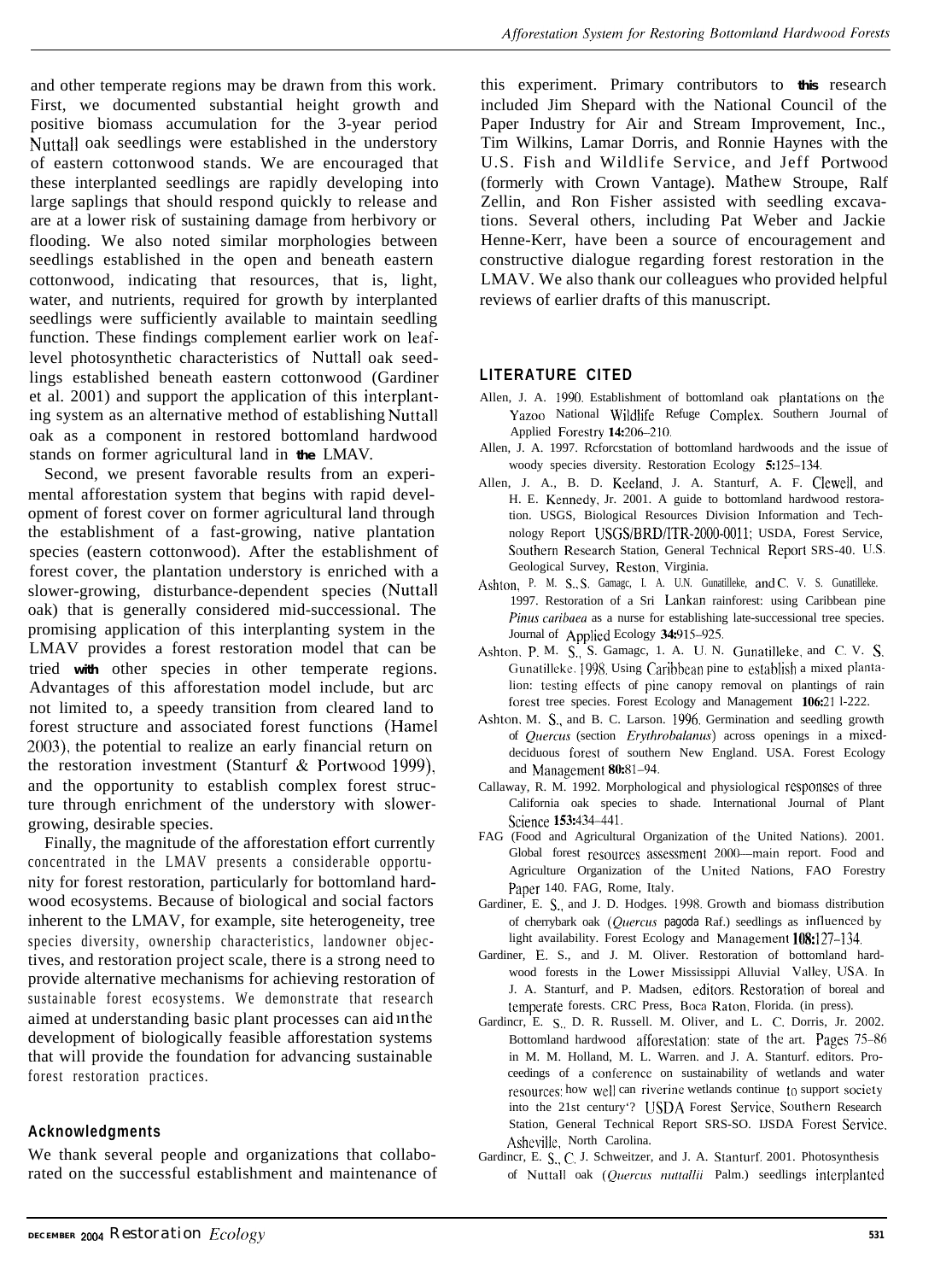and other temperate regions may be drawn from this work. First, we documented substantial height growth and positive biomass accumulation for the 3-year period Nuttall oak seedlings were established in the understory of eastern cottonwood stands. We are encouraged that these interplanted seedlings are rapidly developing into large saplings that should respond quickly to release and are at a lower risk of sustaining damage from herbivory or flooding. We also noted similar morphologies between seedlings established in the open and beneath eastern cottonwood, indicating that resources, that is, light, water, and nutrients, required for growth by interplanted seedlings were sufficiently available to maintain seedling function. These findings complement earlier work on leaflevel photosynthetic characteristics of Nuttall oak seedlings established beneath eastern cottonwood (Gardiner et al. 2001) and support the application of this interplanting system as an alternative method of establishing Nuttall oak as a component in restored bottomland hardwood stands on former agricultural land in **the** LMAV.

Second, we present favorable results from an experimental afforestation system that begins with rapid development of forest cover on former agricultural land through the establishment of a fast-growing, native plantation species (eastern cottonwood). After the establishment of forest cover, the plantation understory is enriched with a slower-growing, disturbance-dependent species (Nuttall oak) that is generally considered mid-successional. The promising application of this interplanting system in the LMAV provides a forest restoration model that can be tried **with** other species in other temperate regions. Advantages of this afforestation model include, but arc not limited to, a speedy transition from cleared land to forest structure and associated forest functions (Hamel 2003) the potential to realize an early financial return on the restoration investment (Stanturf & Portwood 1999) and the opportunity to establish complex forest structure through enrichment of the understory with slowergrowing, desirable species.

Finally, the magnitude of the afforestation effort currently concentrated in the LMAV presents a considerable opportunity for forest restoration, particularly for bottomland hardwood ecosystems. Because of biological and social factors inherent to the LMAV, for example, site heterogeneity, tree species diversity, ownership characteristics, landowner objectives, and restoration project scale, there is a strong need to provide alternative mechanisms for achieving restoration of sustainable forest ecosystems. We demonstrate that research aimed at understanding basic plant processes can aid m the development of biologically feasible afforestation systems that will provide the foundation for advancing sustainable forest restoration practices.

# **Acknowledgments**

We thank several people and organizations that collabo- Gardincr, E. S., C. J. Schweitzer, and J. A. Stanturf. 2001. Photosynthesis rated on the successful establishment and maintenance of of Nuttall oak (Quercus nuttallii Palm.) seedlings interplanted

this experiment. Primary contributors to **this** research included Jim Shepard with the National Council of the Paper Industry for Air and Stream Improvement, Inc., Tim Wilkins, Lamar Dorris, and Ronnie Haynes with the U.S. Fish and Wildlife Service, and Jeff Portwood (formerly with Crown Vantage). Mathew Stroupe, Ralf Zellin, and Ron Fisher assisted with seedling excavations. Several others, including Pat Weber and Jackie Henne-Kerr, have been a source of encouragement and constructive dialogue regarding forest restoration in the LMAV. We also thank our colleagues who provided helpful reviews of earlier drafts of this manuscript.

# **LITERATURE CITED**

- Allen, J. A. 1990. Establishment of bottomland oak planlations on the Yazoo National Wildlife Refuge Complex. Southern Journal of Applied Forestry 14:206-210.
- Allen, J. A. 1997. Rcforcstation of bottomland hardwoods and the issue of woody species diversity. Restoration Ecology 5:125-134.
- Allen, J. A., B. D. Keeland, J. A. Stanturf, A. F. Clewell, and H. E. Kennedy, Jr. 2001. A guide to bottomland hardwood restoration. USGS, Biological Resources Division Information and Technology Report USGS/BRD/ITR-2000-0011; USDA, Forest Service, Southern Research Station, General Technical Report SRS-40. U.S. Geological Survey, Rcston, Virginia.
- Ashton, P. M. S., S. Gamage, I. A. U.N. Gunatilleke, and C. V. S. Gunatilleke. 1997. Restoration of a Sri Lankan rainforest: using Caribbean pine Pinus *caribaea* as a nurse for establishing late-successional tree species. Journal of Applied Ecology 34:915-925.
- Ashton. P. M. S., S. Gamage, 1. A. U. N. Gunatilleke, and C. V. S. Gunatilleke. 1998. Using Caribbean pine to establish a mixed plantalion: testing effects of pine canopy removal on plantings of rain forest tree species. Forest Ecology and Management 106:21 1-222.
- Ashton. M. S., and B. C. Larson. 1996. Germination and seedling growth of Quercus (section *Erythrobalanus*) across openings in a mixeddeciduous forest of southern New England. USA. Forest Ecology and Management 80:81-94.
- Callaway, R. M. 1992. Morphological and physiological responses of three California oak species to shade. International Journal of Plant Science 153:434-441.
- FAG (Food and Agricultural Organization of the United Nations). 2001. Global forest resources assessment 2000--main report. Food and Agriculture Organization of the United Nations, FAO Forestry Paper 140. FAG, Rome, Italy.
- Gardiner, E. S., and J. D. Hodges. 1998. Growth and biomass distribution of cherrybark oak (Quercus pagoda Raf.) seedlings as influenced by light availability. Forest Ecology and Management 108:127-134.
- Gardiner, E. S., and J. M. Oliver. Restoration of bottomland hardwood forests in the Lower Mississippi Alluvial Valley, IJSA. In J. A. Stanturf, and P. Madsen, editors. Restoration of boreal and temperate forests. CRC Press, Boca Raton, Florida. (in press).
- Gardincr, E. S., D. R. Russell. M. Oliver, and L. C. Dorris, Jr. 2002. Bottomland hardwood alforestation: state of the art. Pages 75-86 in M. M. Holland, M. L. Warren. and J. A. Stanturf. editors. Proceedings of a conference on sustainability of wetlands and water resources: how well can riverine wetlands continue to support society into the 21st century'? IJSDA Forest Service, Southern Research Station, General Technical Report SRS-SO. IJSDA Forest Service, Ashcvillc, North Carolina.
-